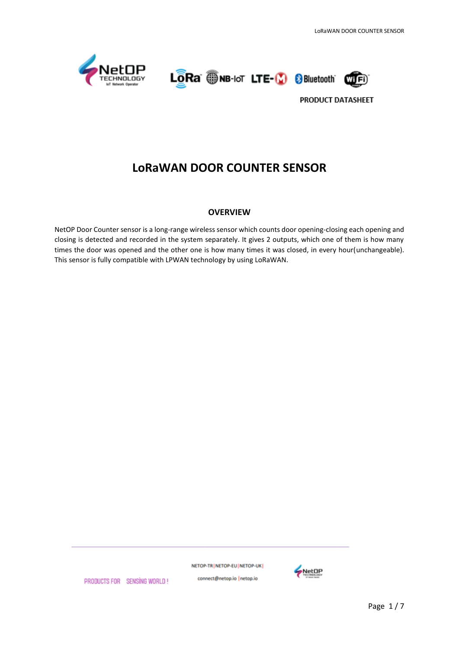





# **LoRaWAN DOOR COUNTER SENSOR**

#### **OVERVIEW**

NetOP Door Counter sensor is a long-range wireless sensor which counts door opening-closing each opening and closing is detected and recorded in the system separately. It gives 2 outputs, which one of them is how many times the door was opened and the other one is how many times it was closed, in every hour(unchangeable). This sensor is fully compatible with LPWAN technology by using LoRaWAN.

NETOP-TR NETOP-EU NETOP-UK



PRODUCTS FOR SENSING WORLD!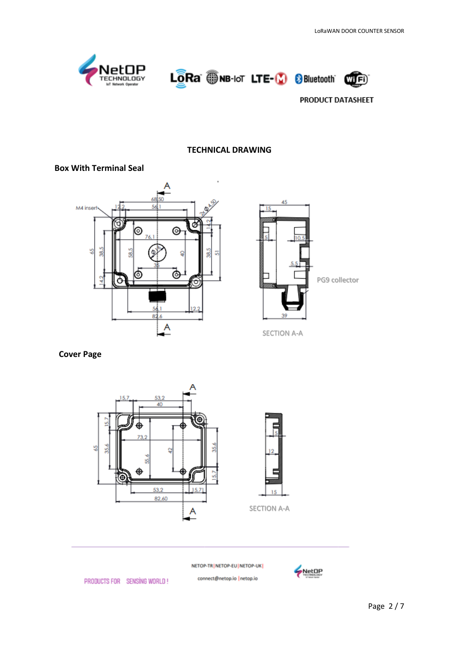





## **TECHNICAL DRAWING**

#### **Box With Terminal Seal**





SECTION A-A

#### **Cover Page**



NETOP-TR | NETOP-EU | NETOP-UK |

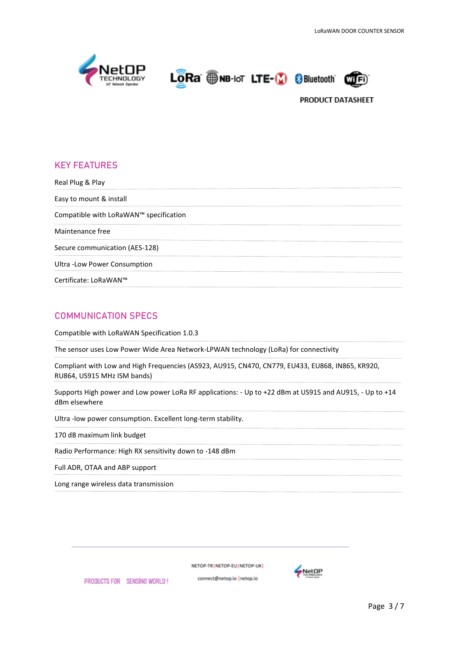





# **KEY FEATURES**

Real Plug & Play Easy to mount & install Compatible with LoRaWAN™ specification Maintenance free Secure communication (AES-128) Ultra -Low Power Consumption Certificate: LoRaWAN™

## **COMMUNICATION SPECS**

Compatible with LoRaWAN Specification 1.0.3

The sensor uses Low Power Wide Area Network-LPWAN technology (LoRa) for connectivity

Compliant with Low and High Frequencies (AS923, AU915, CN470, CN779, EU433, EU868, IN865, KR920, RU864, US915 MHz ISM bands)

Supports High power and Low power LoRa RF applications: - Up to +22 dBm at US915 and AU915, - Up to +14 dBm elsewhere

Ultra -low power consumption. Excellent long-term stability.

170 dB maximum link budget

Radio Performance: High RX sensitivity down to -148 dBm

Full ADR, OTAA and ABP support

Long range wireless data transmission

NETOP-TRINETOP-EUINETOP-UKI

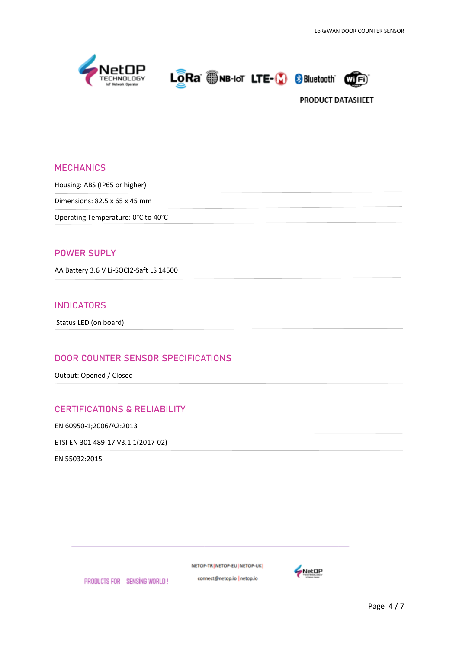





## **MECHANICS**

Housing: ABS (IP65 or higher)

Dimensions: 82.5 x 65 x 45 mm

Operating Temperature: 0°C to 40°C

### **POWER SUPLY**

AA Battery 3.6 V Li-SOCI2-Saft LS 14500

## **INDICATORS**

Status LED (on board)

## **DOOR COUNTER SENSOR SPECIFICATIONS**

Output: Opened / Closed

## **CERTIFICATIONS & RELIABILITY**

EN 60950-1;2006/A2:2013

ETSI EN 301 489-17 V3.1.1(2017-02)

EN 55032:2015

NETOP-TR | NETOP-EU | NETOP-UK |

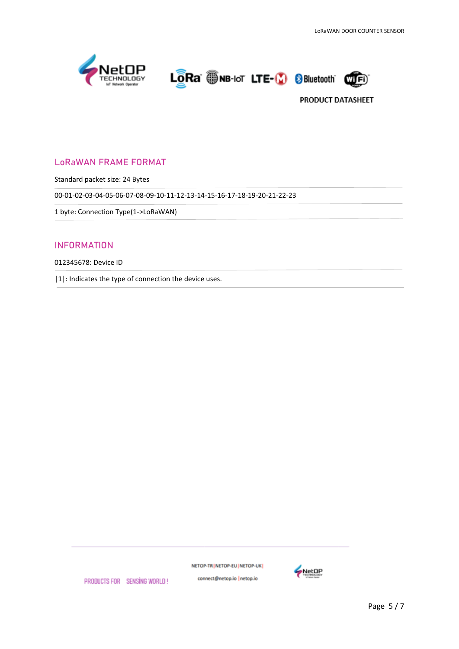





# **LoRaWAN FRAME FORMAT**

Standard packet size: 24 Bytes

00-01-02-03-04-05-06-07-08-09-10-11-12-13-14-15-16-17-18-19-20-21-22-23

1 byte: Connection Type(1->LoRaWAN)

## **INFORMATION**

012345678: Device ID

|1|: Indicates the type of connection the device uses.

NETOP-TR | NETOP-EU | NETOP-UK |



PRODUCTS FOR SENSING WORLD!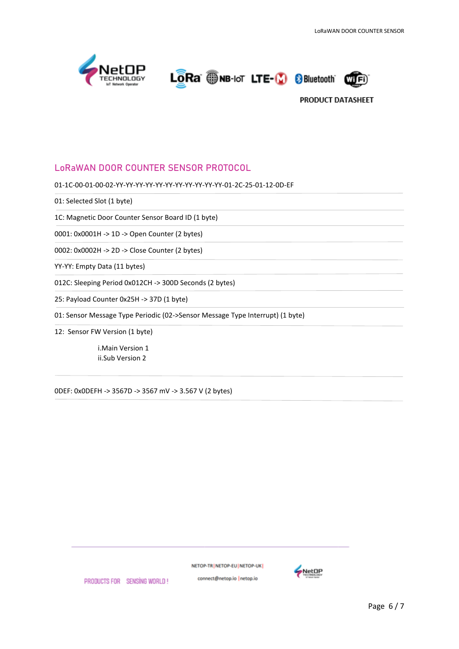





## **LoRaWAN DOOR COUNTER SENSOR PROTOCOL**

01-1C-00-01-00-02-YY-YY-YY-YY-YY-YY-YY-YY-YY-YY-YY-01-2C-25-01-12-0D-EF

01: Selected Slot (1 byte)

1C: Magnetic Door Counter Sensor Board ID (1 byte)

0001: 0x0001H -> 1D -> Open Counter (2 bytes)

0002: 0x0002H -> 2D -> Close Counter (2 bytes)

YY-YY: Empty Data (11 bytes)

012C: Sleeping Period 0x012CH -> 300D Seconds (2 bytes)

25: Payload Counter 0x25H -> 37D (1 byte)

01: Sensor Message Type Periodic (02->Sensor Message Type Interrupt) (1 byte)

12: Sensor FW Version (1 byte)

i.Main Version 1 ii.Sub Version 2

0DEF: 0x0DEFH -> 3567D -> 3567 mV -> 3.567 V (2 bytes)

NETOP-TR NETOP-EU NETOP-UK